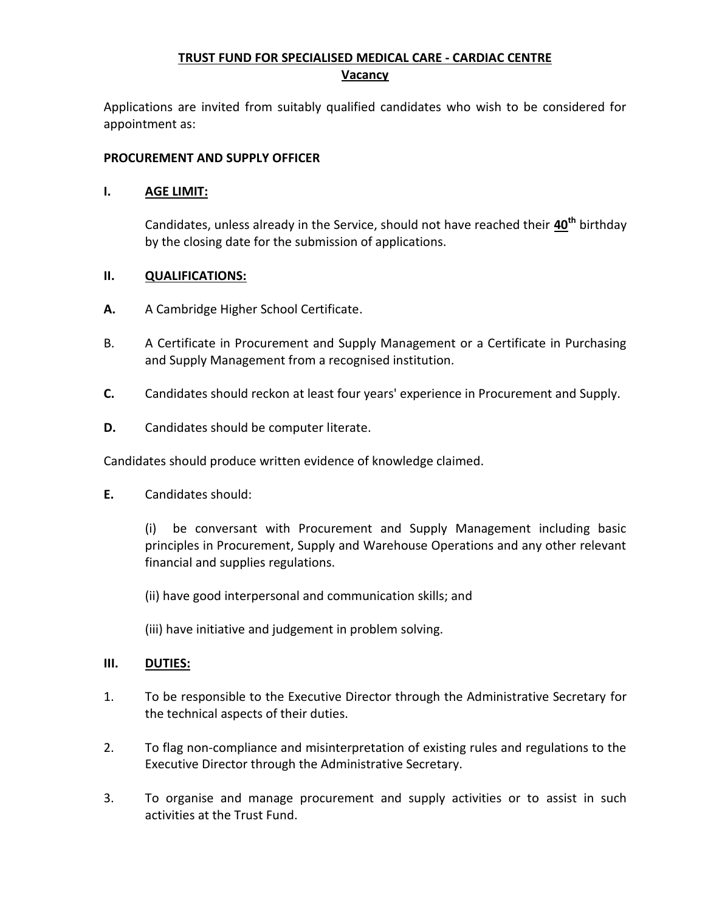# **TRUST FUND FOR SPECIALISED MEDICAL CARE - CARDIAC CENTRE Vacancy**

Applications are invited from suitably qualified candidates who wish to be considered for appointment as:

## **PROCUREMENT AND SUPPLY OFFICER**

#### **I. AGE LIMIT:**

Candidates, unless already in the Service, should not have reached their **40th** birthday by the closing date for the submission of applications.

## **II. QUALIFICATIONS:**

- **A.** A Cambridge Higher School Certificate.
- B. A Certificate in Procurement and Supply Management or a Certificate in Purchasing and Supply Management from a recognised institution.
- **C.** Candidates should reckon at least four years' experience in Procurement and Supply.
- **D.** Candidates should be computer literate.

Candidates should produce written evidence of knowledge claimed.

**E.** Candidates should:

(i) be conversant with Procurement and Supply Management including basic principles in Procurement, Supply and Warehouse Operations and any other relevant financial and supplies regulations.

(ii) have good interpersonal and communication skills; and

(iii) have initiative and judgement in problem solving.

#### **III. DUTIES:**

- 1. To be responsible to the Executive Director through the Administrative Secretary for the technical aspects of their duties.
- 2. To flag non-compliance and misinterpretation of existing rules and regulations to the Executive Director through the Administrative Secretary.
- 3. To organise and manage procurement and supply activities or to assist in such activities at the Trust Fund.